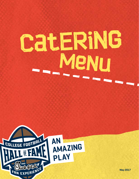### **CatERiNG MeNuReport**



**May 2017**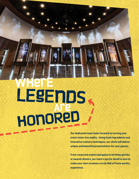### **HOnOReD WHerE LEgEnDs Are**

EXEANTESTICS

**Our dedicated team looks forward to turning your event vision into reality. Using fresh ingredients and innovative culinary techniques, our chefs will deliver unique and beautiful presentations for your guests.** 

**From corporate events and galas to birthday parties or awards dinners, our team's eye for detail is sure to make your next occasion a truly Hall of Fame worthy experience.**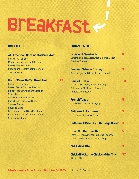## **BrEaKfASt**

### **BREAKFAST**

### **All-American Continental Breakfast 16**

Chilled Fruit Juices Market Fresh Fruits and Berries Bakery Fresh Muffins Regular and Decaffeinated Coffee Selection of Teas

### **Hall of Fame Buffet Breakfast 27**

Chilled Fruit Juices Market Fresh Fruits and Berries Bakery Fresh Muffins and Biscuits Sweet Butter Assorted Jams and Preserves Farm Fresh Scrambled Eggs Smoked Bacon Sausage Links Herb Roasted Red Skin Potatoes Regular and Decaffeinated Coffee Selection of Teas

### **ENHANCEMENTS**

| <b>Croissant Sandwich</b><br>Scrambled Eggs, Applewood Smoked Bacon,<br><b>Cheddar Cheese</b>                              | R  |
|----------------------------------------------------------------------------------------------------------------------------|----|
| <b>Smoked Salmon Display</b><br>Capers, Egg, Red Onion, Lemon, Tomato                                                      | g  |
| <b>Omelet Station*</b><br>Omelets with Ham, Bacon, Sausage,<br>Bell Pepper, Mushroom, Spinach,<br><b>Tomato and Cheese</b> | 10 |
| <b>French Toast</b><br><b>Candied Pecans, Maple Syrup</b>                                                                  |    |
| <b>Buttermilk Pancakes</b><br><b>Fruit Compote, Maple Syrup</b>                                                            | 5  |
| <b>Buttermilk Biscuits &amp; Sausage Gravy</b>                                                                             | 4  |
| <b>Steel Cut Oatmeal Bar</b><br>Fresh Berries, Almonds, Sugared Pecans,<br><b>Dried Cherries, Raisins, Brown Sugar</b>     |    |
| <b>Chick-fil-A Biscuit</b>                                                                                                 |    |
| <b>Chick-fil-A Large Chick-n-Mini Tray</b><br>[Serves 40]                                                                  |    |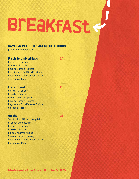## **BrEaKfASt**

### **GAME DAY PLATED BREAKFAST SELECTIONS**

(Items priced per person)

### **Fresh Scrambled Eggs 24**

Chilled Fruit Juices Breakfast Pastries Smoked Bacon or Sausage Herb Roasted Red Skin Potatoes Regular and Decaffeinated Coffee Selection of Teas

### **French Toast 25**

Chilled Fruit Juices Breakfast Pastries Baked Cinnamon Apples Smoked Bacon or Sausage Regular and Decaffeinated Coffee Selection of Teas

### **Quiche 26**

Your Choice of Country Vegetable or Bacon and Cheddar Chilled Fruit Juices Breakfast Pastries Baked Cinnamon Apples Smoked Bacon or Sausage Regular and Decaffeinated Coffee Selection of Teas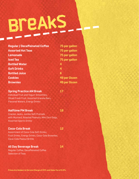# **BreAkS**

**75 per gallon Assorted Hot Teas 75 per gallon Lemonade 75 per gallon**

**75 per gallon** 

**Cookies 49 per Dozen Brownies 49 per Dozen**

| <b>Regular / Decaffeinated Coffee</b> |   |
|---------------------------------------|---|
| <b>Assorted Hot Teas</b>              | 7 |
| <b>Lemonade</b>                       | 7 |
| <b>Iced Tea</b>                       | 7 |
| <b>Bottled Water</b>                  | 4 |
| <b>Soft Drinks</b>                    | 4 |
| <b>Bottled Juice</b>                  | 6 |
| <b>Cookies</b>                        | 4 |
| <b>Brownies</b>                       | 4 |

### **Spring Practice AM Break 17**

Individual Fruit and Yogurt Smoothies, Sliced Fresh Fruit, Assorted Granola Bars, Flavored Waters, Energy Drinks

### **Halftime PM Break 16**

Cracker Jacks, Jumbo Soft Pretzels with Mustard, Roasted Peanuts, Mini Corn Dogs, Assorted Sports Drinks

### **Coca-Cola Break 12**

Assortment of Coca-Cola Soft Drinks, Fruit Drinks, Energy Drinks, Coca-Cola Brownies, Coca-Cola Peanut Brittle

### **All Day Beverage Break 14**

Regular Coffee, Decaffeinated Coffee Selection of Teas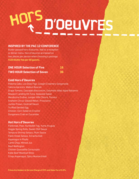# **HOrsD'OeuVrEs**

### **INSPIRED BY THE PAC 12 CONFERENCE**

Butler-passed hors d'oeuvres. Add to a reception or dinner menu. Hors d'oeuvres are based on two pieces per person when choosing a package. **\$150 Butler fee per 50 guests.**

| <b>ONE HOUR Selection of Five</b>  | 16   |
|------------------------------------|------|
| <b>TWO HOUR Selection of Seven</b> | 1361 |

### **Cold Hors d'Oeuvres**

Polenta Cake, Los Osos Figs, Cowgirl Creamery Gorgonzola Yakima Apricots, Walnut Boursin Grape Tomato, Cascades Bocconcini, Columbia Valley Aged Balsamic Newport Landing Ahi Tuna, Seaweed Salad Mendocino Endive, Juniper Hills Chevre, Tomato Anaheim Citrus-Glazed Melon, Prosciutto Jumbo Prawn, Cocktail Sauce Truffled Deviled Egg Chicken-Corn Salad on Crostini Dungeness Crab on Cucumber

### **Hot Hors d'Oeuvres**

Flatbread, Pear, Humboldt Fog, Yuma Arugula Veggie Spring Rolls, Sweet Chili Sauce Tempura Shrimp Satays, Plum Sauce Flank Steak Satays, Sriracha Aioli Asparagus in Phyllo Lamb Chop, Minted Jus Beef Wellington Chicken Quesadilla Cornucopia Kobe Beef Meatloaf Bites Crispy Asparagus, Spicy Mustard Aioli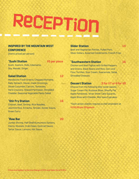### **ReCEPTiOn** <u>se grand gener men</u>

### **INSPIRED BY THE MOUNTAIN WEST CONFERENCE**

(Items priced per person)

### **\$5 per piece**

Sushi, Sashimi, Rolls, Edamame, Soy, Wasabi, Ginger

### **Salad Station 12**

**\***

Mendocino Fresh Greens, Chopped Romaine, Baby Spinach, House-made Dressings, Sliced Cucumber, Carrots, Tomatoes, Herb Croutons, Shaved Parmesan, Shredded Cheddar, Seasonal Vegetable Pasta Salad

### **\* Stir Fry Station 16**

Chicken, Beef, Shrimp, Rice Noodles, Jasmine Rice, Sriracha, Teriyaki, Oyster Sauce, Green Curry

### **\* Raw Bar 20**

Jumbo Shrimp, Half Shell Kumumoto Oysters, Clams, Mussels, Crab Claws, Cocktail Sauce, Tartar Sauce, Lemons, Hot Sauce

### **Slider Station 14**

Beef and Vegetarian Patties, Pulled Pork, Silver Dollars, Assorted Condiments, French Fries

### **\* Southwestern Station 16**

Chicken and Beef Fajitas with Grilled Peppers and Onions, Black Beans and Rice, Corn and Flour Tortillas, Sour Cream, Guacamole, Salsa, Shredded Cheeses

### **Dessert Station 3 for \$7 or 4 for \$9**

Choose from the following bite-sized sweets: Sugar Cream Pie, Buckeye Bites, Shoofly Pie, Apple Pandowdy, Texas Sheet Cake Squares, Apple Bites with Cheddar, Mini Iowa Cupcakes

\*Each action station requires a chef attendant at **\$150.00 per 50 guests**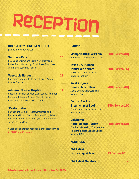## **ReCEPTiOn**

### **INSPIRED BY CONFERENCE USA**

<u>the product of the state of the state of the state of the state of the state of the state of the state of the state of the state of the state of the state of the state of the state of the state of the state of the state o</u>

(Items priced per person)

### **Southern Fare 15**

Louisiana Shrimp and Grits, North Carolina Pulled Pork, Mississippi Fried Green Tomatoes with Black-Eyed Pea Relish

### **Vegetable Harvest** 11

East Texas Vegetable Crudité, Florida Avocado Crème Fraîche

### **Artisanal Cheese Display 11**

Sequatchie Valley Cheddar, Ash County Mountain Gouda, Veldhuizen Bosque Blue with Assorted Fresh and Dried Fruits with Crostini

### **\* Pasta Station 16**

Farfalle and Gemelli Pastas, Marinara and Parmesan Cream Sauces, Seasonal Vegetables, Louisiana Andouille Sausage, Gulf Coast Shrimp, Texas Bay Scallops

\*Each action station requires a chef attendant at **\$150.00 per 50 guests**

### **CARVING**

**Memphis BBQ Pork Loin 500 (Serves 30)** Honey Glaze, Sweet Potato Mash

**Texas Dry Rubbed Tenderloin of Beef 500 (Serves 15)** Horseradish Sauce, Au jus,

Silver Dollar Rolls

**West Virginia** 

**Honey Glazed Ham 400 (Serves 40)** 

Mustard Sauce **Central Florida** 

Apple Chutney, Horseradish

**Steamship of Beef 950 (Serves 100)** Parker House Rolls, Horseradish

Sauce, Au jus

**Oklahoma Herb Roasted Turkey 400 (Serves 50)** 

Cranberry Dressing, Whole Grain Mustard, Florida Orange Sauce, Assorted Rolls

### **ADDITIONS**

**Chick-fil-A Large Nugget Tray 95 (serves 60)**

**Chick-fil-A Sandwich 4**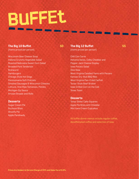## **BuFFEt**

### **The Big 10 Buffet 50 50**

(Items priced per person)

Wisconsin Beer Cheese Soup Indiana Crunchy Vegetable Salad Roasted Nebraska Sweet Corn Salad Breaded Pork Tenderloin **Bratwurst Hamburgers** Chicago Style Hot Dogs Pennsylvania Soft Pretzels Smoked Sausages & Wisconsin Cheeses Lettuce, Vine Ripe Tomatoes, Pickles Michigan Zip Sauce Artisan Breads and Rolls

### **Desserts**

Sugar Cream Pie Buckeye Bites Shoofly Pie Apple Pandowdy

### **The Big 12 Buffet 55 Strategies 35** (Items priced per person)

Chili Con Carne Helvetia Swiss, Colby Cheddar and Pepper Jack Cheese Display Iowa Potato Salad Okie Slaw West Virginia Candied Yams with Pecans Kansas Dry-Rub BBQ Ribs West Virginia Pan-Fried Catfish Texas-Style Beef Brisket Iowa Grilled Corn on the Cob Texas Toast

### **Desserts**

Texas Sheet Cake Squares Apple Pie Bites with Cheddar Mini Iowa Cream Cupcakes

All buffet dinner menus include regular coffee, decaffeinated coffee and selection of teas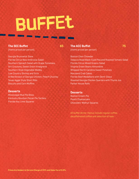### **BuFFEt**

### **The SEC Buffet 65**

(Items priced per person)

Georgia Brunswick Stew Florida Citrus New Ambrosia Salad Southern Spinach Salad with Grape Tomatoes, Grit Croutons, Sweet Onion Vinaigrette Southern Style Vegetable Medley Low Country Shrimp and Grits Grilled Breast of Georgia Chicken, Peach Chutney Texas Aggie Style Short Ribs Biscuits and Corn Muffins

### **Desserts**

Mississippi Mud Pie Bites Kentucky Bourbon Pecan Pie Tartlets Florida Key Lime Squares

**The ACC Buffet 75** (Items priced per person)

Boston Clam Chowder Tobacco Road Black-Eyed Pea and Roasted Tomato Salad Florida Citrus Mixed Greens Salad Virginia Green Beans Almondine Whipped North Carolina Sweet Potatoes Maryland Crab Cakes Florida Beef Medallions with Demi-Glace Roasted Georgia Chicken Quarters with Thyme Jus Parker House Rolls

### **Desserts**

Boston Cream Pie Peach Cheesecake Chocolate-Walnut Squares

All buffet dinner menus include regular coffee, decaffeinated coffee and selection of teas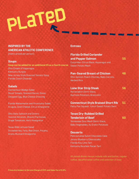# **PLaTeD**

### **INSPIRED BY THE AMERICAN ATHLETIC CONFERENCE**

(Items priced per person)

### **Soups**

**Soup can be added for an additional \$5 as a fourth course** Ohio Cream of Asparagus Kentucky Burgoo New Jersey Style Roasted Tomato Soup Florida Conch Chowder

### **Salads**

Connecticut Wedge Salad Diced Tomato, Smoked Bacon, Onion, Chopped Egg, Blue Cheese Dressing

Florida Watermelon and Prosciutto Salad Arugula, Goat Cheese, Citrus Vinaigrette

Ohio Baby Spinach and Greens Toasted Almonds, Shaved Parmesan, Grape Tomatoes, Herb Vinaigrette

Texas Bibb Lettuce Salad Strawberries, Feta, Red Onion, Pecans, Grainy Mustard Vinaigrette

### **Entrees**

| <b>Florida Grilled Coriander</b><br>and Pepper Salmon<br>Cucumber-Citrus Glaze, Asparagus and<br><b>Sweet Potato Mash</b> | 55 |
|---------------------------------------------------------------------------------------------------------------------------|----|
| <b>Pan-Seared Breast of Chicken</b><br>Ohio Apricot-Peach Chutney, Baby Carrots,<br><b>Herbed Rice</b>                    | 48 |
| <b>Lone Star Strip Steak</b><br>Horseradish Demi-Glace,<br>Duchess Potatoes, Broccolini                                   | 56 |
| <b>Connecticut Style Braised Short Rib</b><br>Patty Pan Squash, Yukon Sweet Potato Swirl                                  | 51 |
| <b>Texas Dry-Rubbed Grilled</b>                                                                                           |    |

Tennessee Sour Mash Demi-Glace, Baby Vegetables, Au Gratin Potatoes

**Tenderloin of Beef 60** 

### **Desserts**

Pennsylvania Dutch Chocolate Cake Jersey Blueberry Cheesecake Florida Key Lime Tart Kentucky Bourbon Pecan Tart

All plated dinner menus include rolls and butter, regular coffee, decaffeinated coffee and selection of teas